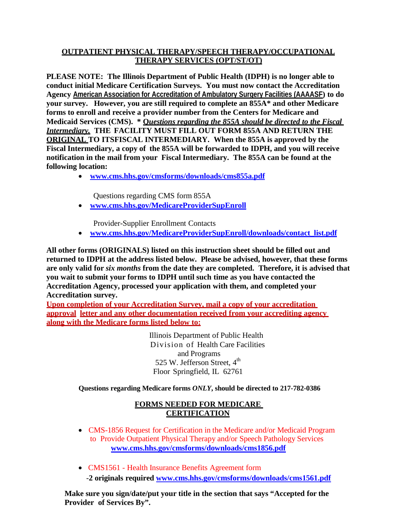### **OUTPATIENT PHYSICAL THERAPY/SPEECH THERAPY/OCCUPATIONAL THERAPY SERVICES (OPT/ST/OT)**

**PLEASE NOTE: The Illinois Department of Public Health (IDPH) is no longer able to conduct initial Medicare Certification Surveys. You must now contact the Accreditation Agency American Association for Accreditation of Ambulatory Surgery Facilities (AAAASF) to do your survey. However, you are still required to complete an 855A\* and other Medicare forms to enroll and receive a provider number from the Centers for Medicare and Medicaid Services (CMS). \* Q***uestions regarding the 855A should be directed to the Fiscal Intermediary.* **THE FACILITY MUST FILL OUT FORM 855A AND RETURN THE ORIGINAL TO ITSFISCAL INTERMEDIARY. When the 855A is approved by the Fiscal Intermediary, a copy of the 855A will be forwarded to IDPH, and you will receive notification in the mail from your Fiscal Intermediary. The 855A can be found at the following location:**

• **[www.cms.hhs.gov/cmsforms/downloads/cms855a.pdf](http://www.cms.hhs.gov/cmsforms/downloads/cms855a.pdf)**

Questions regarding CMS form 855A

• **[www.cms.hhs.gov/MedicareProviderSupEnroll](http://www.cms.hhs.gov/MedicareProviderSupEnroll)**

Provider-Supplier Enrollment Contacts

• **[www.cms.hhs.gov/MedicareProviderSupEnroll/downloads/contact\\_list.pdf](http://www.cms.hhs.gov/MedicareProviderSupEnroll/downloads/contact_list.pdf)**

**All other forms (ORIGINALS) listed on this instruction sheet should be filled out and returned to IDPH at the address listed below. Please be advised, however, that these forms are only valid for** *six months* **from the date they are completed. Therefore, it is advised that you wait to submit your forms to IDPH until such time as you have contacted the Accreditation Agency, processed your application with them, and completed your Accreditation survey.**

**Upon completion of your Accreditation Survey, mail a copy of your accreditation approval letter and any other documentation received from your accrediting agency along with the Medicare forms listed below to:**

> Illinois Department of Public Health Division of Health Care Facilities and Programs 525 W. Jefferson Street, 4<sup>th</sup> Floor Springfield, IL 62761

#### **Questions regarding Medicare forms** *ONLY***, should be directed to 217-782-0386**

### **FORMS NEEDED FOR MEDICARE CERTIFICATION**

- CMS-1856 Request for Certification in the Medicare and/or Medicaid Program to Provide Outpatient Physical Therapy and/or Speech Pathology Services **[www.cms.hhs.gov/cmsforms/downloads/cms1856.pdf](http://www.cms.hhs.gov/cmsforms/downloads/cms1856.pdf)**
- CMS1561 Health Insurance Benefits Agreement form -**2 originals required [www.cms.hhs.gov/cmsforms/downloads/cms1561.pdf](http://www.cms.hhs.gov/cmsforms/downloads/cms1561.pdf)**

**Make sure you sign/date/put your title in the section that says "Accepted for the Provider of Services By".**